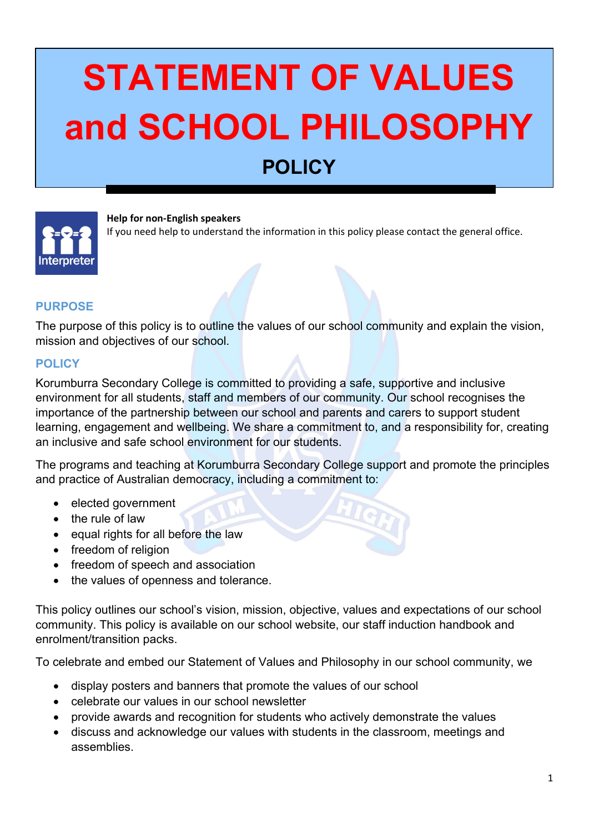# **STATEMENT OF VALUES and SCHOOL PHILOSOPHY POLICY**



**Help for non-English speakers**

If you need help to understand the information in this policy please contact the general office.

## **PURPOSE**

The purpose of this policy is to outline the values of our school community and explain the vision, mission and objectives of our school.

#### **POLICY**

Korumburra Secondary College is committed to providing a safe, supportive and inclusive environment for all students, staff and members of our community. Our school recognises the importance of the partnership between our school and parents and carers to support student learning, engagement and wellbeing. We share a commitment to, and a responsibility for, creating an inclusive and safe school environment for our students.

The programs and teaching at Korumburra Secondary College support and promote the principles and practice of Australian democracy, including a commitment to:

- elected government
- the rule of law
- equal rights for all before the law
- freedom of religion
- freedom of speech and association
- the values of openness and tolerance.

This policy outlines our school's vision, mission, objective, values and expectations of our school community. This policy is available on our school website, our staff induction handbook and enrolment/transition packs.

To celebrate and embed our Statement of Values and Philosophy in our school community, we

- display posters and banners that promote the values of our school
- celebrate our values in our school newsletter
- provide awards and recognition for students who actively demonstrate the values
- discuss and acknowledge our values with students in the classroom, meetings and assemblies.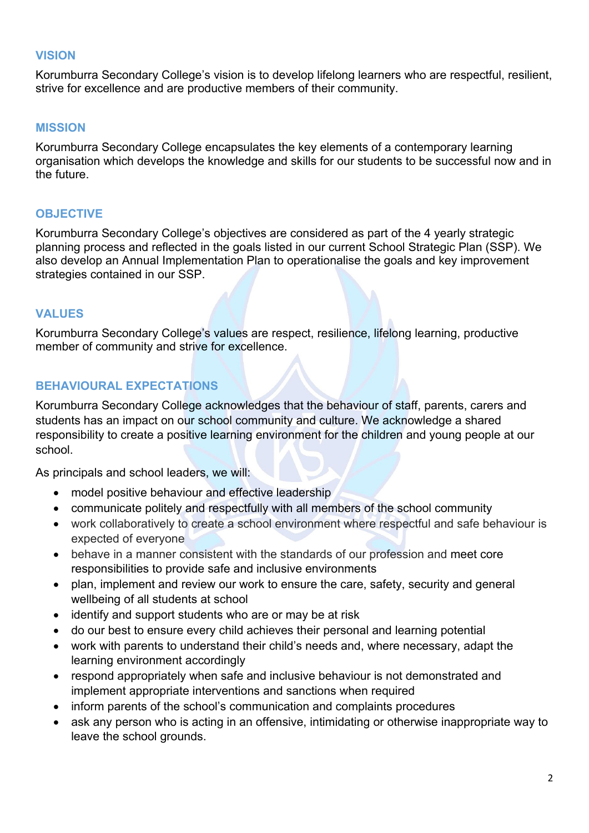#### **VISION**

Korumburra Secondary College's vision is to develop lifelong learners who are respectful, resilient, strive for excellence and are productive members of their community.

#### **MISSION**

Korumburra Secondary College encapsulates the key elements of a contemporary learning organisation which develops the knowledge and skills for our students to be successful now and in the future.

## **OBJECTIVE**

Korumburra Secondary College's objectives are considered as part of the 4 yearly strategic planning process and reflected in the goals listed in our current School Strategic Plan (SSP). We also develop an Annual Implementation Plan to operationalise the goals and key improvement strategies contained in our SSP.

## **VALUES**

Korumburra Secondary College's values are respect, resilience, lifelong learning, productive member of community and strive for excellence.

# **BEHAVIOURAL EXPECTATIONS**

Korumburra Secondary College acknowledges that the behaviour of staff, parents, carers and students has an impact on our school community and culture. We acknowledge a shared responsibility to create a positive learning environment for the children and young people at our school.

As principals and school leaders, we will:

- model positive behaviour and effective leadership
- communicate politely and respectfully with all members of the school community
- work collaboratively to create a school environment where respectful and safe behaviour is expected of everyone
- behave in a manner consistent with the standards of our profession and meet core responsibilities to provide safe and inclusive environments
- plan, implement and review our work to ensure the care, safety, security and general wellbeing of all students at school
- identify and support students who are or may be at risk
- do our best to ensure every child achieves their personal and learning potential
- work with parents to understand their child's needs and, where necessary, adapt the learning environment accordingly
- respond appropriately when safe and inclusive behaviour is not demonstrated and implement appropriate interventions and sanctions when required
- inform parents of the school's communication and complaints procedures
- ask any person who is acting in an offensive, intimidating or otherwise inappropriate way to leave the school grounds.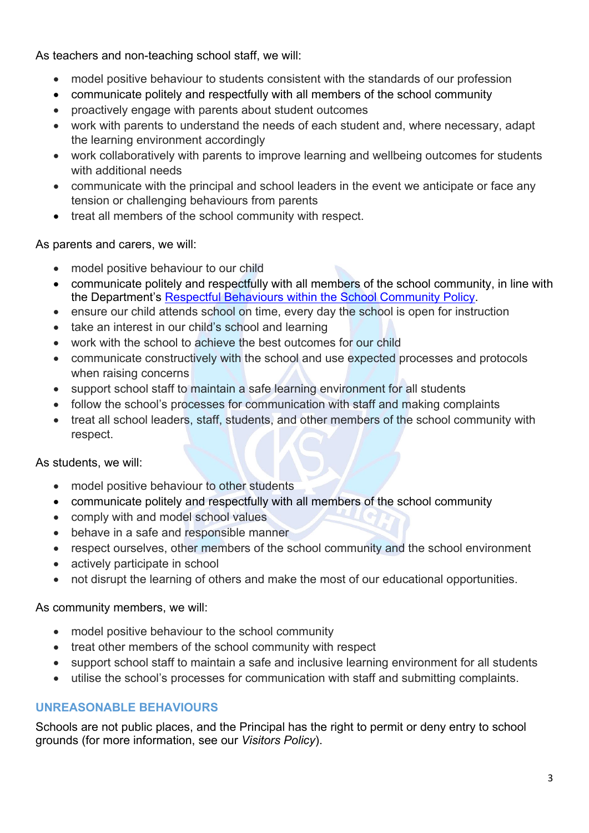As teachers and non-teaching school staff, we will:

- model positive behaviour to students consistent with the standards of our profession
- communicate politely and respectfully with all members of the school community
- proactively engage with parents about student outcomes
- work with parents to understand the needs of each student and, where necessary, adapt the learning environment accordingly
- work collaboratively with parents to improve learning and wellbeing outcomes for students with additional needs
- communicate with the principal and school leaders in the event we anticipate or face any tension or challenging behaviours from parents
- treat all members of the school community with respect.

As parents and carers, we will:

- model positive behaviour to our child
- communicate politely and respectfully with all members of the school community, in line with the Department's [Respectful Behaviours within the School Community Policy.](https://www.education.vic.gov.au/Pages/Respectful-Behaviours-within-the-School-Community-Policy.aspx)
- ensure our child attends school on time, every day the school is open for instruction
- take an interest in our child's school and learning
- work with the school to achieve the best outcomes for our child
- communicate constructively with the school and use expected processes and protocols when raising concerns
- support school staff to maintain a safe learning environment for all students
- follow the school's processes for communication with staff and making complaints
- treat all school leaders, staff, students, and other members of the school community with respect.

As students, we will:

- model positive behaviour to other students
- communicate politely and respectfully with all members of the school community
- comply with and model school values
- behave in a safe and responsible manner
- respect ourselves, other members of the school community and the school environment
- actively participate in school
- not disrupt the learning of others and make the most of our educational opportunities.

As community members, we will:

- model positive behaviour to the school community
- treat other members of the school community with respect
- support school staff to maintain a safe and inclusive learning environment for all students
- utilise the school's processes for communication with staff and submitting complaints.

# **UNREASONABLE BEHAVIOURS**

Schools are not public places, and the Principal has the right to permit or deny entry to school grounds (for more information, see our *Visitors Policy*).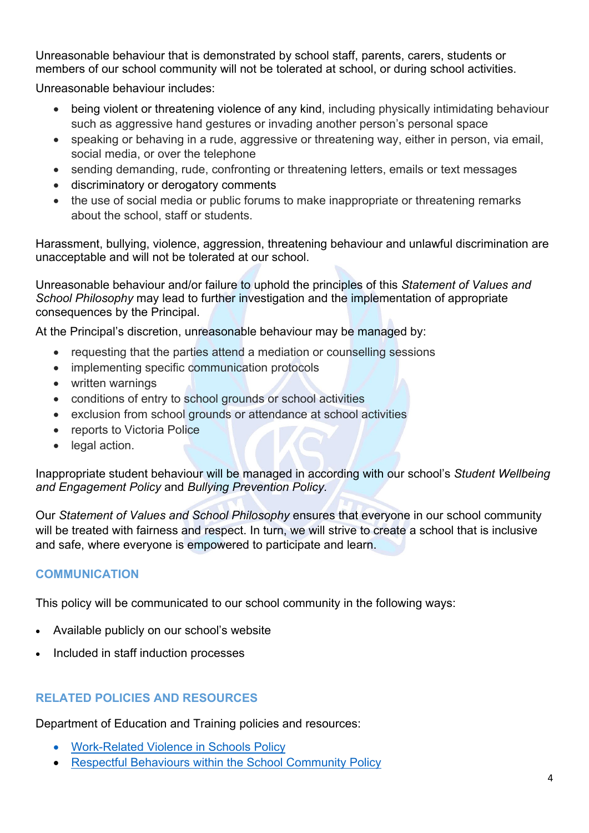Unreasonable behaviour that is demonstrated by school staff, parents, carers, students or members of our school community will not be tolerated at school, or during school activities.

Unreasonable behaviour includes:

- being violent or threatening violence of any kind, including physically intimidating behaviour such as aggressive hand gestures or invading another person's personal space
- speaking or behaving in a rude, aggressive or threatening way, either in person, via email, social media, or over the telephone
- sending demanding, rude, confronting or threatening letters, emails or text messages
- discriminatory or derogatory comments
- the use of social media or public forums to make inappropriate or threatening remarks about the school, staff or students.

Harassment, bullying, violence, aggression, threatening behaviour and unlawful discrimination are unacceptable and will not be tolerated at our school.

Unreasonable behaviour and/or failure to uphold the principles of this *Statement of Values and School Philosophy* may lead to further investigation and the implementation of appropriate consequences by the Principal.

At the Principal's discretion, unreasonable behaviour may be managed by:

- requesting that the parties attend a mediation or counselling sessions
- implementing specific communication protocols
- written warnings
- conditions of entry to school grounds or school activities
- exclusion from school grounds or attendance at school activities
- reports to Victoria Police
- legal action.

Inappropriate student behaviour will be managed in according with our school's *Student Wellbeing and Engagement Policy* and *Bullying Prevention Policy.*

Our *Statement of Values and School Philosophy* ensures that everyone in our school community will be treated with fairness and respect. In turn, we will strive to create a school that is inclusive and safe, where everyone is empowered to participate and learn.

# **COMMUNICATION**

This policy will be communicated to our school community in the following ways:

- Available publicly on our school's website
- Included in staff induction processes

# **RELATED POLICIES AND RESOURCES**

Department of Education and Training policies and resources:

- [Work-Related Violence in Schools Policy](https://www2.education.vic.gov.au/pal/work-related-violence-schools/policy)
- [Respectful Behaviours within the School Community Policy](https://www.education.vic.gov.au/Pages/Respectful-Behaviours-within-the-School-Community-Policy.aspx)